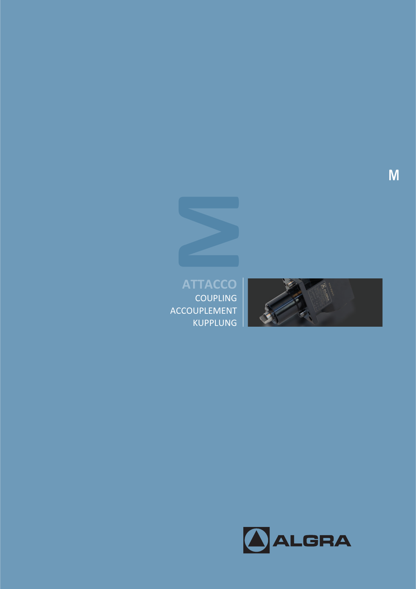

KUPPLUNG



COUPLING ACCOUPLEMENT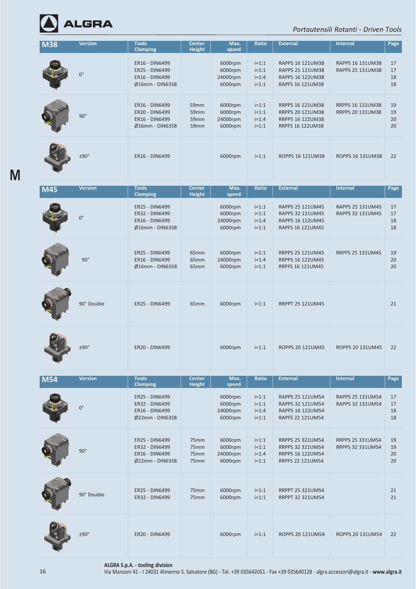

**M**

*Portautensili Rotanti ‐ Driven Tools*

| <b>M38</b> | <b>Version</b> | <b>Tools</b><br><b>Clamping</b>                                              | <b>Center</b><br><b>Height</b> | Max.<br>speed                             | Ratio                                    | <b>External</b>                                                                                   | <b>Internal</b>                                    | Page                 |
|------------|----------------|------------------------------------------------------------------------------|--------------------------------|-------------------------------------------|------------------------------------------|---------------------------------------------------------------------------------------------------|----------------------------------------------------|----------------------|
|            | $0^{\circ}$    | <b>ER16 - DIN6499</b><br>ER25 - DIN6499<br>ER16 - DIN6499<br>Ø16mm - DIN6358 |                                | 6000rpm<br>6000rpm<br>24000rpm<br>6000rpm | $i=1:1$<br>$i=1:1$<br>$i=1:4$<br>$i=1:1$ | RAPPS 16 121UM38<br>RAPPS 25 121UM38<br>RAPPS 16 122UM38<br>RAPFS 16 121UM38                      | RAPPS 16 131UM38<br>RAPPS 25 131UM38               | 17<br>17<br>18<br>18 |
|            | $90^\circ$     | ER16 - DIN6499<br>ER20 - DIN6499<br>ER16 - DIN6499<br>Ø16mm - DIN6358        | 59mm<br>59mm<br>59mm<br>59mm   | 6000rpm<br>6000rpm<br>24000rpm<br>6000rpm | $i=1:1$<br>$i=1:1$<br>$i=1:4$<br>$i=1:1$ | RRPPS 16 121UM38<br><b>RRPPS 20 121UM38</b><br><b>RRPPS 16 122UM38</b><br><b>RRPFS 16 122UM38</b> | <b>RRPPS 16 131UM38</b><br><b>RRPPS 20 131UM38</b> | 19<br>19<br>20<br>20 |
|            | ±90°           | ER16 - DIN6499                                                               |                                | 6000rpm                                   | $i=1:1$                                  | ROPPS 16 121UM38                                                                                  | ROPPS 16 131UM38                                   | 22                   |
| <b>M45</b> | <b>Version</b> | <b>Tools</b><br><b>Clamping</b>                                              | <b>Center</b><br><b>Height</b> | Max.<br>speed                             | <b>Ratio</b>                             | <b>External</b>                                                                                   | Internal                                           | Page                 |
|            | $0^{\circ}$    | ER25 - DIN6499<br>ER32 - DIN6499<br>ER16 - DIN6499<br>Ø16mm - DIN6358        |                                | 6000rpm<br>6000rpm<br>24000rpm<br>6000rpm | $i=1:1$<br>$i=1:1$<br>$i=1:4$<br>$i=1:1$ | RAPPS 25 121UM45<br>RAPPS 32 121UM45<br>RAPPS 16 122UM45<br>RAPFS 16 121UM45                      | RAPPS 25 131UM45<br>RAPPS 32 131UM45               | 17<br>17<br>18<br>18 |
|            | $90^\circ$     | <b>ER25 - DIN6499</b><br>ER16 - DIN6499<br>Ø16mm - DIN6358                   | 65mm<br>65mm<br>65mm           | 6000rpm<br>24000rpm<br>6000rpm            | $i=1:1$<br>$i=1:4$<br>$i=1:1$            | RRPPS 25 121UM45<br><b>RRPPS 16 122UM45</b><br><b>RRPFS 16 121UM45</b>                            | RRPPS 25 131UM45                                   | 19<br>20<br>20       |
|            | 90° Double     | ER25 - DIN6499                                                               | 65 <sub>mm</sub>               | 6000rpm                                   | $i=1:1$                                  | <b>RRPPT 25 121UM45</b>                                                                           |                                                    | 21                   |
|            | $±90^\circ$    | ER20 - DIN6499                                                               |                                | 6000rpm                                   | $i=1:1$                                  | ROPPS 20 121UM45                                                                                  | ROPPS 20 131UM45                                   | 22                   |
| <b>M54</b> | <b>Version</b> | <b>Tools</b><br><b>Clamping</b>                                              | <b>Center</b><br><b>Height</b> | Max.<br>speed                             | Ratio                                    | <b>External</b>                                                                                   | <b>Internal</b>                                    | Page                 |
|            | $0^{\circ}$    | ER25 - DIN6499<br>ER32 - DIN6499<br>ER16 - DIN6499<br>Ø22mm - DIN6358        |                                | 6000rpm<br>6000rpm<br>24000rpm<br>6000rpm | $i=1:1$<br>$i=1:1$<br>$i=1:4$<br>$i=1:1$ | RAPPS 25 121UM54<br>RAPPS 32 121UM54<br>RAPPS 16 122UM54<br><b>RAPFS 22 121UM54</b>               | RAPPS 25 131UM54<br>RAPPS 32 131UM54               | 17<br>17<br>18<br>18 |
|            | $90^\circ$     | ER25 - DIN6499<br>ER32 - DIN6499<br>ER16 - DIN6499<br>Ø22mm - DIN6358        | 75mm<br>75mm<br>75mm<br>75mm   | 6000rpm<br>6000rpm<br>24000rpm<br>6000rpm | $i=1:1$<br>$i=1:1$<br>$i=1:4$<br>$i=1:1$ | RRPPS 25 321UM54<br>RRPPS 32 321UM54<br><b>RRPPS 16 122UM54</b><br><b>RRPFS 22 121UM54</b>        | RRPPS 25 331UM54<br>RRPPS 32 331UM54               | 19<br>19<br>20<br>20 |
|            | 90° Double     | ER25 - DIN6499<br>ER32 - DIN6499                                             | 75mm<br>75mm                   | 6000rpm<br>6000rpm                        | $i=1:1$<br>$i=1:1$                       | <b>RRPPT 25 321UM54</b><br>RRPPT 32 321UM54                                                       |                                                    | 21<br>21             |
|            | ±90°           | ER20 - DIN6499                                                               |                                | 6000rpm                                   | $i=1:1$                                  | ROPPS 20 121UM54                                                                                  | ROPPS 20 131UM54                                   | 22                   |

**ALGRA S.p.A. ‐ tooling division**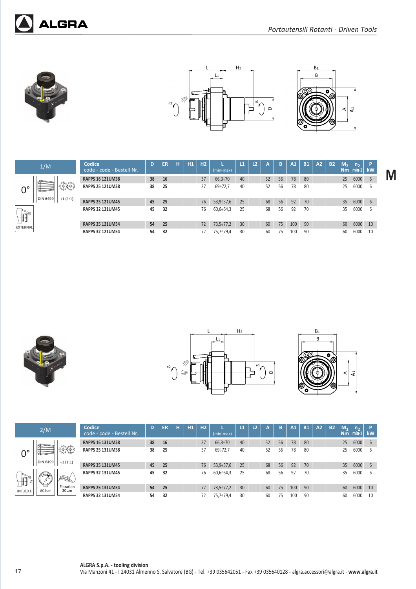

**ALGRA** 





**M**

|          | 1/M             |           |
|----------|-----------------|-----------|
| o        | <b>DIN 6499</b> | $+1(1:1)$ |
| EXTERNAL |                 |           |

|       | Codice<br>code - code - Bestell Nr. | D  | ER | Н | H1 | H2 | (min-max)        | $\mathbf{L}$ | <b>L2</b> | А  | B  | A1  | <b>B1</b> | A2 | <b>B2</b> | M <sub>2</sub><br><b>Nm</b> | $n_{\rm{b}}$<br>min- | Þ<br>kW |
|-------|-------------------------------------|----|----|---|----|----|------------------|--------------|-----------|----|----|-----|-----------|----|-----------|-----------------------------|----------------------|---------|
|       | <b>RAPPS 16 121UM38</b>             | 38 | 16 |   |    | 37 | $66,3 \div 70$   | 40           |           | 52 | 56 | 78  | 80        |    |           | 25                          | 6000                 | 6       |
| En 3  | <b>RAPPS 25 121UM38</b>             | 38 | 25 |   |    | 37 | $69 - 72,7$      | 40           |           | 52 | 56 | 78  | 80        |    |           | 25                          | 6000                 | 6       |
| (1:1) | <b>RAPPS 25 121UM45</b>             | 45 | 25 |   |    | 76 | 53,9:57,6        | 25           |           | 68 | 56 | 92  | 70        |    |           | 35                          | 6000                 | 6       |
|       | <b>RAPPS 32 121UM45</b>             | 45 | 32 |   |    | 76 | $60,6 \div 64,3$ | 25           |           | 68 | 56 | 92  | 70        |    |           | 35                          | 6000                 | 6       |
|       | <b>RAPPS 25 121UM54</b>             | 54 | 25 |   |    | 72 | $73,5 - 77,2$    | 30           |           | 60 | 75 | 100 | 90        |    |           | 60                          | 6000                 | 10      |
|       | <b>RAPPS 32 121UM54</b>             | 54 | 32 |   |    | 72 | 75,7÷79,4        | 30           |           | 60 | 75 | 100 | 90        |    |           | 60                          | 6000                 | 10      |







|                                              | 2/M      |                                | Codice<br>code - code - Bestell Nr. | D  | ER | н | H1 | H <sub>2</sub> | (min-max)        | $\mathbf{L}$ | L <sub>2</sub> | А  | B  | A1  | <b>B1</b> | A2 | <b>B2</b> | M <sub>2</sub><br><b>Nm</b> | n <sub>2</sub><br>$min-1$ | $\mathsf{P}$<br><b>kW</b> |
|----------------------------------------------|----------|--------------------------------|-------------------------------------|----|----|---|----|----------------|------------------|--------------|----------------|----|----|-----|-----------|----|-----------|-----------------------------|---------------------------|---------------------------|
|                                              |          |                                | <b>RAPPS 16 131UM38</b>             | 38 | 16 |   |    | 37             | $66,3 \div 70$   | 40           |                | 52 | 56 | 78  | 80        |    |           | 25                          | 6000                      | - 6                       |
| $0^{\circ}$                                  |          |                                | <b>RAPPS 25 131UM38</b>             | 38 | 25 |   |    | 37             | $69 - 72,7$      | 40           |                | 52 | 56 | 78  | 80        |    |           | 25                          | 6000                      | - 6                       |
|                                              | DIN 6499 | $+1(1:1)$                      | <b>RAPPS 25 131UM45</b>             | 45 | 25 |   |    | 76             | $53,9-57,6$      | 25           |                | 68 | 56 | 92  | 70        |    |           | 35                          | 6000                      | - 6                       |
| $\bigoplus_{i=1}^{\infty} \mathbb{R}^n$<br>⋹ |          | 2                              | <b>RAPPS 32 131UM45</b>             | 45 | 32 |   |    | 76             | $60,6 \div 64,3$ | 25           |                | 68 | 56 | 92  | 70        |    |           | 35                          | 6000                      | - 6                       |
| INT./EXT.                                    | 80 bar   | Filtration<br>30 <sub>µm</sub> | <b>RAPPS 25 131UM54</b>             | 54 | 25 |   |    | 72             | $73,5 \div 77,2$ | 30           |                | 60 | 75 | 100 | 90        |    |           | 60                          | 6000                      | 10                        |
|                                              |          |                                | <b>RAPPS 32 131UM54</b>             | 54 | 32 |   |    | 72             | 75,7÷79,4        | 30           |                | 60 | 75 | 100 | 90        |    |           | 60                          | 6000                      | 10                        |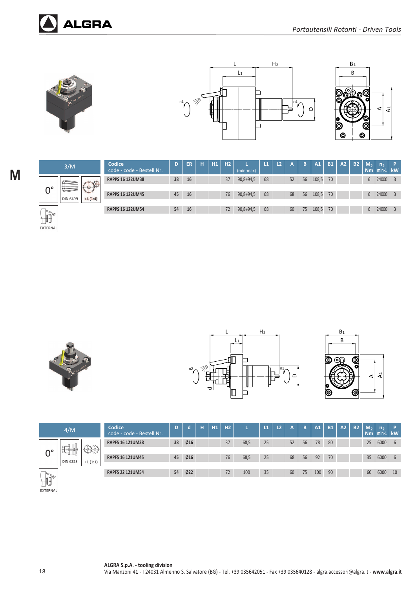

**ALGRA** 





| 3/M                                         | Codice<br>code - code - Bestell Nr. | D  | ER | н | H1 | <b>H2</b> | (min-max)   | L1 | L <sub>2</sub> | A  | B  | A1    | <b>B1</b> | A2 | <b>B2</b> | M <sub>2</sub><br><b>Nm</b> | $n_{\rm}$<br>$min-1$ | $\mathbf{P}$<br>kW      |
|---------------------------------------------|-------------------------------------|----|----|---|----|-----------|-------------|----|----------------|----|----|-------|-----------|----|-----------|-----------------------------|----------------------|-------------------------|
|                                             | <b>RAPPS 16 122UM38</b>             | 38 | 16 |   |    | 37        | $90,8-94,5$ | 68 |                | 52 | 56 | 108,5 | 70        |    |           | 6                           | 24000                |                         |
| 20,300<br>ا پ<br>um<br>IN 6499<br>$+4(1:4)$ | <b>RAPPS 16 122UM45</b>             | 45 | 16 |   |    | 76        | $90,8-94,5$ | 68 |                | 68 | 56 | 108,5 | 70        |    |           |                             | 24000                |                         |
|                                             | <b>RAPPS 16 122UM54</b>             | 54 | 16 |   |    | 72        | $90,8-94,5$ | 68 |                | 60 | 75 | 108,5 | 70        |    |           | 6                           | 24000                | $\overline{\mathbf{3}}$ |







|                | 4/M             |               | Codice<br>code - code - Bestell Nr. | D  | d              | н | H1 | H2 |      | VИ | L <sub>2</sub> | A  | B  | A1  | <b>B1</b> | A2 | <b>B2</b> | M <sub>2</sub><br>N <sub>m</sub> | n <sub>2</sub><br>$min-1$ | <b>kW</b> |
|----------------|-----------------|---------------|-------------------------------------|----|----------------|---|----|----|------|----|----------------|----|----|-----|-----------|----|-----------|----------------------------------|---------------------------|-----------|
|                | nd              |               | <b>RAPFS 16 121UM38</b>             | 38 | Ø16            |   |    | 37 | 68,5 | 25 |                | 52 | 56 | 78  | 80        |    |           | 25                               | 6000                      | 6         |
|                | 褍<br>∸          | $\frac{1}{2}$ |                                     |    |                |   |    |    |      |    |                |    |    |     |           |    |           |                                  |                           |           |
|                | <b>DIN 6358</b> | $+1(1:1)$     | <b>RAPFS 16 121UM45</b>             | 45 | $\emptyset$ 16 |   |    | 76 | 68,5 | 25 |                | 68 | 56 | 92  | 70        |    |           | 35                               | 6000                      | 6         |
|                |                 |               |                                     |    |                |   |    |    |      |    |                |    |    |     |           |    |           |                                  |                           |           |
|                |                 |               | <b>RAPFS 22 121UM54</b>             | 54 | Ø22            |   |    | 72 | 100  | 35 |                | 60 | 75 | 100 | 90        |    |           | 60                               | 6000                      | 10        |
| $\mathbb{H}^*$ |                 |               |                                     |    |                |   |    |    |      |    |                |    |    |     |           |    |           |                                  |                           |           |
| EXTERNAL       |                 |               |                                     |    |                |   |    |    |      |    |                |    |    |     |           |    |           |                                  |                           |           |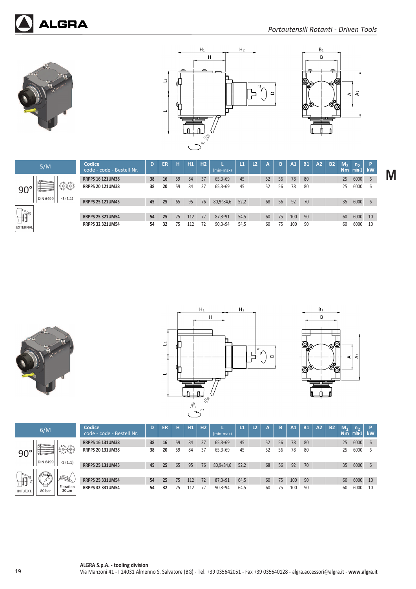







|              | Codice<br>code - code - Bestell Nr. | D  | ER | н  | H1  | H <sub>2</sub> | (min-max)      | L1   | L2 | А  | B  | A1  | <b>B1</b> | A2 | <b>B2</b> | M <sub>2</sub><br><b>Nm</b> | $n_{\rm{D}}$<br>$min-1$ | P<br>kW |
|--------------|-------------------------------------|----|----|----|-----|----------------|----------------|------|----|----|----|-----|-----------|----|-----------|-----------------------------|-------------------------|---------|
|              | <b>RRPPS 16 121UM38</b>             | 38 | 16 | 59 | 84  | 37             | $65,3-69$      | 45   |    | 52 | 56 | 78  | 80        |    |           | 25                          | 6000                    | 6       |
| nymy<br>AzO3 | <b>RRPPS 20 121UM38</b>             | 38 | 20 | 59 | 84  | 37             | $65.3 \div 69$ | 45   |    | 52 | 56 | 78  | 80        |    |           | 25                          | 6000                    | 6       |
| $-1(1:1)$    | <b>RRPPS 25 121UM45</b>             | 45 | 25 | 65 | 95  | 76             | $80,9 - 84,6$  | 52,2 |    | 68 | 56 | 92  | 70        |    |           | 35                          | 6000                    | 6       |
|              | <b>RRPPS 25 321UM54</b>             | 54 | 25 | 75 | 112 | 72             | $87.3 \div 91$ | 54,5 |    | 60 | 75 | 100 | 90        |    |           | 60                          | 6000                    | 10      |
|              | <b>RRPPS 32 321UM54</b>             | 54 | 32 | 75 | 112 | 72             | $90,3 - 94$    | 54,5 |    | 60 | 75 | 100 | 90        |    |           | 60                          | 6000                    | 10      |







|                                                                                                                                                                                                                                                                                                                                                               | 6/M               |                                                                                                                                                                                                                                                                                                                                                             | Codice<br>code - code - Bestell Nr. | D  | ER | н  | H1  | H <sub>2</sub> | (min-max)     | L1   | L <sub>2</sub> | А  | B  | A1  | <b>B1</b> | A2 | <b>B2</b> | M <sub>2</sub><br>Nm | n <sub>2</sub><br>$min-1$ | kW |
|---------------------------------------------------------------------------------------------------------------------------------------------------------------------------------------------------------------------------------------------------------------------------------------------------------------------------------------------------------------|-------------------|-------------------------------------------------------------------------------------------------------------------------------------------------------------------------------------------------------------------------------------------------------------------------------------------------------------------------------------------------------------|-------------------------------------|----|----|----|-----|----------------|---------------|------|----------------|----|----|-----|-----------|----|-----------|----------------------|---------------------------|----|
|                                                                                                                                                                                                                                                                                                                                                               |                   |                                                                                                                                                                                                                                                                                                                                                             | <b>RRPPS 16 131UM38</b>             | 38 | 16 | 59 | 84  | 37             | $65,3-69$     | 45   |                | 52 | 56 | 78  | 80        |    |           | 25                   | 6000                      | 6  |
| $90^{\circ}$                                                                                                                                                                                                                                                                                                                                                  |                   | $\begin{array}{c} \displaystyle \sum_{i=1}^{n} \sum_{j=1}^{n} \sum_{j=1}^{n} \sum_{j=1}^{n} \sum_{j=1}^{n} \sum_{j=1}^{n} \sum_{j=1}^{n} \sum_{j=1}^{n} \sum_{j=1}^{n} \sum_{j=1}^{n} \sum_{j=1}^{n} \sum_{j=1}^{n} \sum_{j=1}^{n} \sum_{j=1}^{n} \sum_{j=1}^{n} \sum_{j=1}^{n} \sum_{j=1}^{n} \sum_{j=1}^{n} \sum_{j=1}^{n} \sum_{j=1}^{n} \sum_{j=1}^{n}$ | <b>RRPPS 20 131UM38</b>             | 38 | 20 | 59 | 84  | 37             | $65,3-69$     | 45   |                | 52 | 56 | 78  | 80        |    |           | 25                   | 6000                      | b  |
|                                                                                                                                                                                                                                                                                                                                                               | <b>DIN 6499</b>   | $-1(1:1)$                                                                                                                                                                                                                                                                                                                                                   | <b>RRPPS 25 131UM45</b>             | 45 | 25 | 65 | 95  | 76             | $80,9 - 84,6$ | 52,2 |                | 68 | 56 | 92  | 70        |    |           | 35                   | 6000                      | 6  |
|                                                                                                                                                                                                                                                                                                                                                               | $\left( 1\right)$ |                                                                                                                                                                                                                                                                                                                                                             |                                     |    |    |    |     |                |               |      |                |    |    |     |           |    |           |                      |                           |    |
| $\begin{picture}(120,110) \put(0,0){\line(1,0){10}} \put(15,0){\line(1,0){10}} \put(15,0){\line(1,0){10}} \put(15,0){\line(1,0){10}} \put(15,0){\line(1,0){10}} \put(15,0){\line(1,0){10}} \put(15,0){\line(1,0){10}} \put(15,0){\line(1,0){10}} \put(15,0){\line(1,0){10}} \put(15,0){\line(1,0){10}} \put(15,0){\line(1,0){10}} \put(15,0){\line$<br>$\leq$ |                   | K                                                                                                                                                                                                                                                                                                                                                           | <b>RRPPS 25 331UM54</b>             | 54 | 25 | 75 | 112 | 72             | $87,3-91$     | 64,5 |                | 60 | 75 | 100 | 90        |    |           | 60                   | 6000                      | 10 |
| INT./EXT.                                                                                                                                                                                                                                                                                                                                                     | ᆸ<br>80 bar       | Filtration<br>30um                                                                                                                                                                                                                                                                                                                                          | <b>RRPPS 32 331UM54</b>             | 54 | 32 | 75 | 112 |                | $90,3 - 94$   | 64,5 |                | 60 | 75 | 100 | 90        |    |           | 60                   | 6000                      | 10 |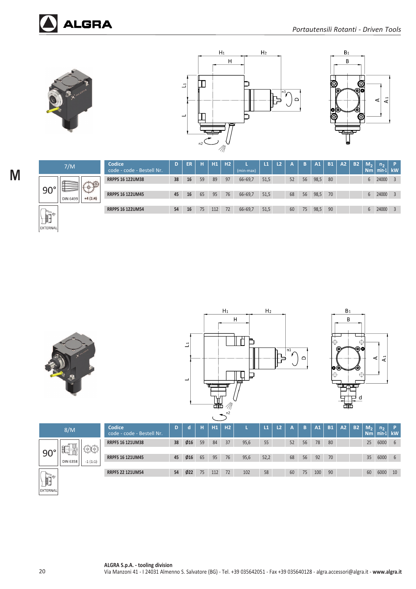





| 7/M                                              | Codice<br>code - code - Bestell Nr. | D  | <b>ER</b> | н  | H1  | <b>TH2</b> | (min-max)   | L1   | L2 | A  | B  | A1   | <b>B1</b> | A2 | <b>B2</b> | м,<br><b>Nm</b> | n <sub>2</sub><br>$min-1$ | P<br>$\mathsf{I}$ kW. |
|--------------------------------------------------|-------------------------------------|----|-----------|----|-----|------------|-------------|------|----|----|----|------|-----------|----|-----------|-----------------|---------------------------|-----------------------|
|                                                  | <b>RRPPS 16 122UM38</b>             | 38 | 16        | 59 | 89  | 97         | $66 - 69,7$ | 51,5 |    | 52 | 56 | 98,5 | 80        |    |           | 6               | 24000                     |                       |
| E Company<br>mos<br>$+4(1:4)$<br><b>DIN 6499</b> | <b>RRPPS 16 122UM45</b>             | 45 | 16        | 65 | 95  | 76         | $66 - 69,7$ | 51,5 |    | 68 | 56 | 98,5 | 70        |    |           | 6               | 24000                     |                       |
|                                                  | <b>RRPPS 16 122UM54</b>             | 54 | 16        | 75 | 112 | 72         | $66 - 69,7$ | 51,5 |    | 60 | 75 | 98,5 | 90        |    |           | 6               | 24000                     |                       |
|                                                  |                                     |    |           |    |     |            |             |      |    |    |    |      |           |    |           |                 |                           |                       |







|              | 8/M             |               | Codice<br>code - code - Bestell Nr. | D  | о                | н  | H1  | H <sub>2</sub> |      | L1   | L <sub>2</sub> | A  | B  | A1  | <b>B1</b> | A2 | <b>B2</b> | M <sub>2</sub><br>Nm | n <sub>2</sub><br>$min-1$ | <b>kW</b> |
|--------------|-----------------|---------------|-------------------------------------|----|------------------|----|-----|----------------|------|------|----------------|----|----|-----|-----------|----|-----------|----------------------|---------------------------|-----------|
| $90^{\circ}$ | 瞶<br>ŤΪ         | $\frac{1}{2}$ | <b>RRPFS 16 121UM38</b>             | 38 | $\varnothing$ 16 | 59 | 84  | 37             | 95,6 | 55   |                | 52 | 56 | 78  | 80        |    |           |                      | 25 6000                   | 6         |
|              | <b>DIN 6358</b> | $-1(1:1)$     | <b>RRPFS 16 121UM45</b>             | 45 | $\emptyset$ 16   | 65 | 95  | 76             | 95,6 | 52,2 |                | 68 | 56 | 92  | 70        |    |           | 35 <sup>2</sup>      | 6000                      | 6         |
| <b>A</b>     |                 |               | <b>RRPFS 22 121UM54</b>             | 54 | Ø22              | 75 | 112 | 72             | 102  | 58   |                | 60 | 75 | 100 | 90        |    |           | 60                   | 6000                      | 10        |

 $\mathbb H$ EXTERNAL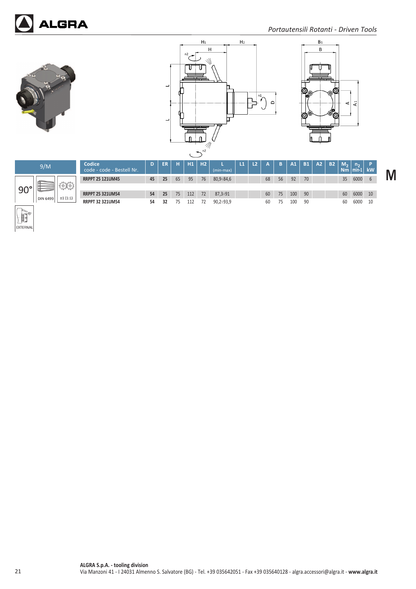







 $\mathbf{A}^1$  $\prec$ 

◎



EXTERNAL